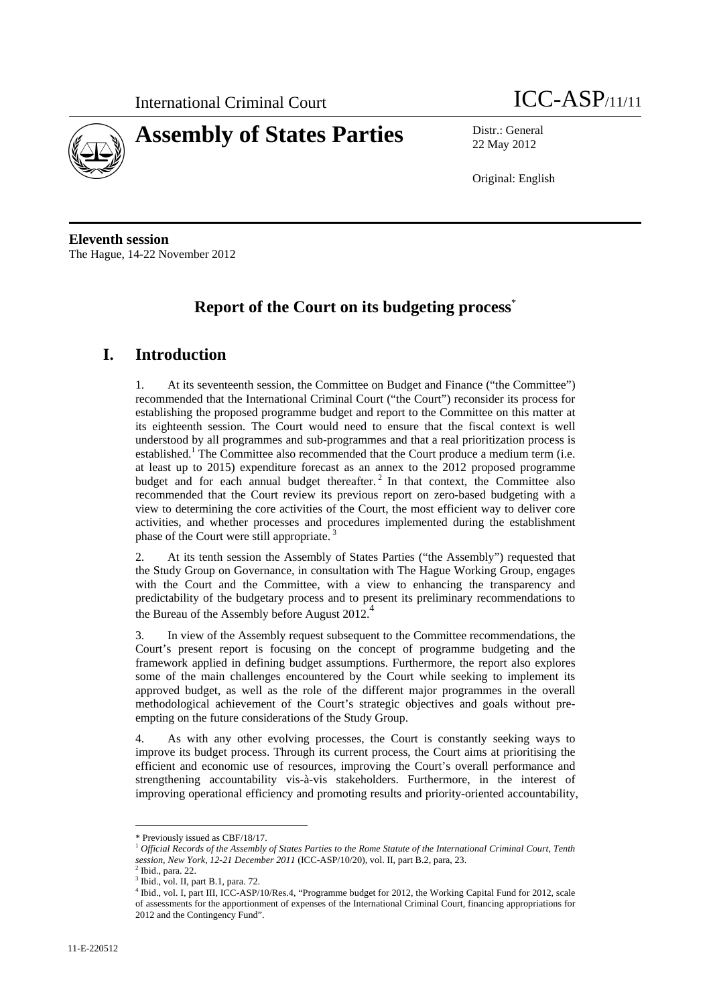



22 May 2012

Original: English

**Eleventh session**  The Hague, 14-22 November 2012

## **Report of the Court on its budgeting process**\*

## **I. Introduction**

1. At its seventeenth session, the Committee on Budget and Finance ("the Committee") recommended that the International Criminal Court ("the Court") reconsider its process for establishing the proposed programme budget and report to the Committee on this matter at its eighteenth session. The Court would need to ensure that the fiscal context is well understood by all programmes and sub-programmes and that a real prioritization process is established.<sup>1</sup> The Committee also recommended that the Court produce a medium term (i.e. at least up to 2015) expenditure forecast as an annex to the 2012 proposed programme budget and for each annual budget thereafter.<sup>2</sup> In that context, the Committee also recommended that the Court review its previous report on zero-based budgeting with a view to determining the core activities of the Court, the most efficient way to deliver core activities, and whether processes and procedures implemented during the establishment phase of the Court were still appropriate.

2. At its tenth session the Assembly of States Parties ("the Assembly") requested that the Study Group on Governance, in consultation with The Hague Working Group, engages with the Court and the Committee, with a view to enhancing the transparency and predictability of the budgetary process and to present its preliminary recommendations to the Bureau of the Assembly before August 2012.<sup>4</sup>

3. In view of the Assembly request subsequent to the Committee recommendations, the Court's present report is focusing on the concept of programme budgeting and the framework applied in defining budget assumptions. Furthermore, the report also explores some of the main challenges encountered by the Court while seeking to implement its approved budget, as well as the role of the different major programmes in the overall methodological achievement of the Court's strategic objectives and goals without preempting on the future considerations of the Study Group.

4. As with any other evolving processes, the Court is constantly seeking ways to improve its budget process. Through its current process, the Court aims at prioritising the efficient and economic use of resources, improving the Court's overall performance and strengthening accountability vis-à-vis stakeholders. Furthermore, in the interest of improving operational efficiency and promoting results and priority-oriented accountability,

<sup>\*</sup> Previously issued as CBF/18/17.

<sup>1</sup> *Official Records of the Assembly of States Parties to the Rome Statute of the International Criminal Court, Tenth session, New York, 12-21 December 2011* (ICC-ASP/10/20), vol. II, part B.2, para, 23.

Ibid., para. 22.

<sup>3</sup> Ibid., vol. II, part B.1, para. 72.

<sup>4</sup> Ibid., vol. I, part III, ICC-ASP/10/Res.4, "Programme budget for 2012, the Working Capital Fund for 2012, scale of assessments for the apportionment of expenses of the International Criminal Court, financing appropriations for 2012 and the Contingency Fund".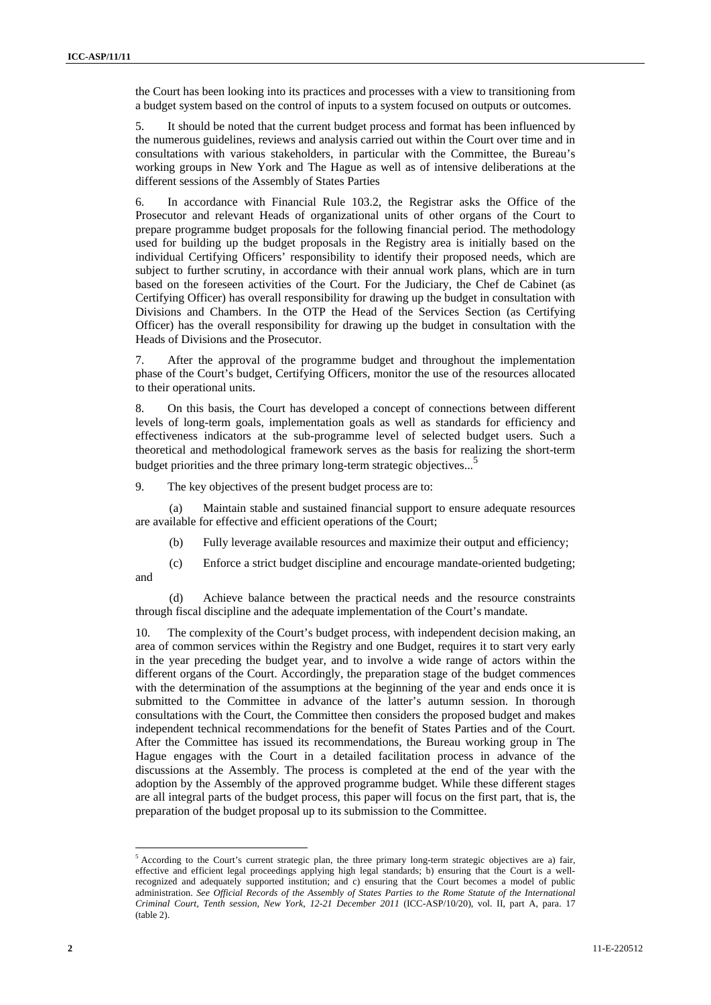the Court has been looking into its practices and processes with a view to transitioning from a budget system based on the control of inputs to a system focused on outputs or outcomes.

5. It should be noted that the current budget process and format has been influenced by the numerous guidelines, reviews and analysis carried out within the Court over time and in consultations with various stakeholders, in particular with the Committee, the Bureau's working groups in New York and The Hague as well as of intensive deliberations at the different sessions of the Assembly of States Parties

6. In accordance with Financial Rule 103.2, the Registrar asks the Office of the Prosecutor and relevant Heads of organizational units of other organs of the Court to prepare programme budget proposals for the following financial period. The methodology used for building up the budget proposals in the Registry area is initially based on the individual Certifying Officers' responsibility to identify their proposed needs, which are subject to further scrutiny, in accordance with their annual work plans, which are in turn based on the foreseen activities of the Court. For the Judiciary, the Chef de Cabinet (as Certifying Officer) has overall responsibility for drawing up the budget in consultation with Divisions and Chambers. In the OTP the Head of the Services Section (as Certifying Officer) has the overall responsibility for drawing up the budget in consultation with the Heads of Divisions and the Prosecutor.

7. After the approval of the programme budget and throughout the implementation phase of the Court's budget, Certifying Officers, monitor the use of the resources allocated to their operational units.

8. On this basis, the Court has developed a concept of connections between different levels of long-term goals, implementation goals as well as standards for efficiency and effectiveness indicators at the sub-programme level of selected budget users. Such a theoretical and methodological framework serves as the basis for realizing the short-term budget priorities and the three primary long-term strategic objectives...<sup>5</sup> I.

9. The key objectives of the present budget process are to:

(a) Maintain stable and sustained financial support to ensure adequate resources are available for effective and efficient operations of the Court;

(b) Fully leverage available resources and maximize their output and efficiency;

(c) Enforce a strict budget discipline and encourage mandate-oriented budgeting; and

(d) Achieve balance between the practical needs and the resource constraints through fiscal discipline and the adequate implementation of the Court's mandate.

10. The complexity of the Court's budget process, with independent decision making, an area of common services within the Registry and one Budget, requires it to start very early in the year preceding the budget year, and to involve a wide range of actors within the different organs of the Court. Accordingly, the preparation stage of the budget commences with the determination of the assumptions at the beginning of the year and ends once it is submitted to the Committee in advance of the latter's autumn session. In thorough consultations with the Court, the Committee then considers the proposed budget and makes independent technical recommendations for the benefit of States Parties and of the Court. After the Committee has issued its recommendations, the Bureau working group in The Hague engages with the Court in a detailed facilitation process in advance of the discussions at the Assembly. The process is completed at the end of the year with the adoption by the Assembly of the approved programme budget. While these different stages are all integral parts of the budget process, this paper will focus on the first part, that is, the preparation of the budget proposal up to its submission to the Committee.

 $<sup>5</sup>$  According to the Court's current strategic plan, the three primary long-term strategic objectives are a) fair,</sup> effective and efficient legal proceedings applying high legal standards; b) ensuring that the Court is a wellrecognized and adequately supported institution; and c) ensuring that the Court becomes a model of public administration. *See Official Records of the Assembly of States Parties to the Rome Statute of the International Criminal Court, Tenth session, New York, 12-21 December 2011* (ICC-ASP/10/20), vol. II, part A, para. 17 (table 2).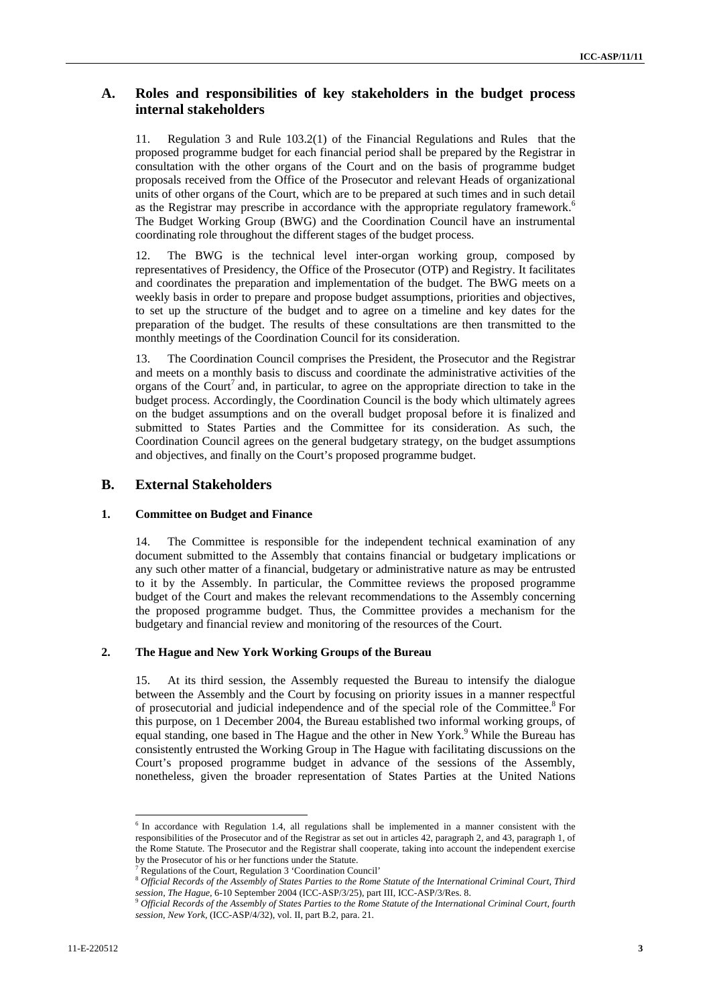#### **A. Roles and responsibilities of key stakeholders in the budget process internal stakeholders**

11. Regulation 3 and Rule 103.2(1) of the Financial Regulations and Rules that the proposed programme budget for each financial period shall be prepared by the Registrar in consultation with the other organs of the Court and on the basis of programme budget proposals received from the Office of the Prosecutor and relevant Heads of organizational units of other organs of the Court, which are to be prepared at such times and in such detail as the Registrar may prescribe in accordance with the appropriate regulatory framework.<sup>6</sup> The Budget Working Group (BWG) and the Coordination Council have an instrumental coordinating role throughout the different stages of the budget process.

12. The BWG is the technical level inter-organ working group, composed by representatives of Presidency, the Office of the Prosecutor (OTP) and Registry. It facilitates and coordinates the preparation and implementation of the budget. The BWG meets on a weekly basis in order to prepare and propose budget assumptions, priorities and objectives, to set up the structure of the budget and to agree on a timeline and key dates for the preparation of the budget. The results of these consultations are then transmitted to the monthly meetings of the Coordination Council for its consideration.

13. The Coordination Council comprises the President, the Prosecutor and the Registrar and meets on a monthly basis to discuss and coordinate the administrative activities of the organs of the Court<sup>7</sup> and, in particular, to agree on the appropriate direction to take in the budget process. Accordingly, the Coordination Council is the body which ultimately agrees on the budget assumptions and on the overall budget proposal before it is finalized and submitted to States Parties and the Committee for its consideration. As such, the Coordination Council agrees on the general budgetary strategy, on the budget assumptions and objectives, and finally on the Court's proposed programme budget.

#### **B. External Stakeholders**

#### **1. Committee on Budget and Finance**

14. The Committee is responsible for the independent technical examination of any document submitted to the Assembly that contains financial or budgetary implications or any such other matter of a financial, budgetary or administrative nature as may be entrusted to it by the Assembly. In particular, the Committee reviews the proposed programme budget of the Court and makes the relevant recommendations to the Assembly concerning the proposed programme budget. Thus, the Committee provides a mechanism for the budgetary and financial review and monitoring of the resources of the Court.

#### **2. The Hague and New York Working Groups of the Bureau**

15. At its third session, the Assembly requested the Bureau to intensify the dialogue between the Assembly and the Court by focusing on priority issues in a manner respectful of prosecutorial and judicial independence and of the special role of the Committee.<sup>8</sup> For this purpose, on 1 December 2004, the Bureau established two informal working groups, of equal standing, one based in The Hague and the other in New York.<sup>9</sup> While the Bureau has consistently entrusted the Working Group in The Hague with facilitating discussions on the Court's proposed programme budget in advance of the sessions of the Assembly, nonetheless, given the broader representation of States Parties at the United Nations

<sup>&</sup>lt;sup>6</sup> In accordance with Regulation 1.4, all regulations shall be implemented in a manner consistent with the responsibilities of the Prosecutor and of the Registrar as set out in articles 42, paragraph 2, and 43, paragraph 1, of the Rome Statute. The Prosecutor and the Registrar shall cooperate, taking into account the independent exercise by the Prosecutor of his or her functions under the Statute.

<sup>7</sup>

<sup>&</sup>lt;sup>7</sup> Regulations of the Court, Regulation 3 'Coordination Council' 8 *Official Records of the International Criminal Court, Third* 8 *Official Records of the Assembly of States Parties to the Rome Statute of the Internation session, The Hague,* 6-10 September 2004 (ICC-ASP/3/25), part III, ICC-ASP/3/Res. 8. 9 *Official Records of the Assembly of States Parties to the Rome Statute of the International Criminal Court, fourth* 

*session, New York,* (ICC-ASP/4/32), vol. II, part B.2, para. 21.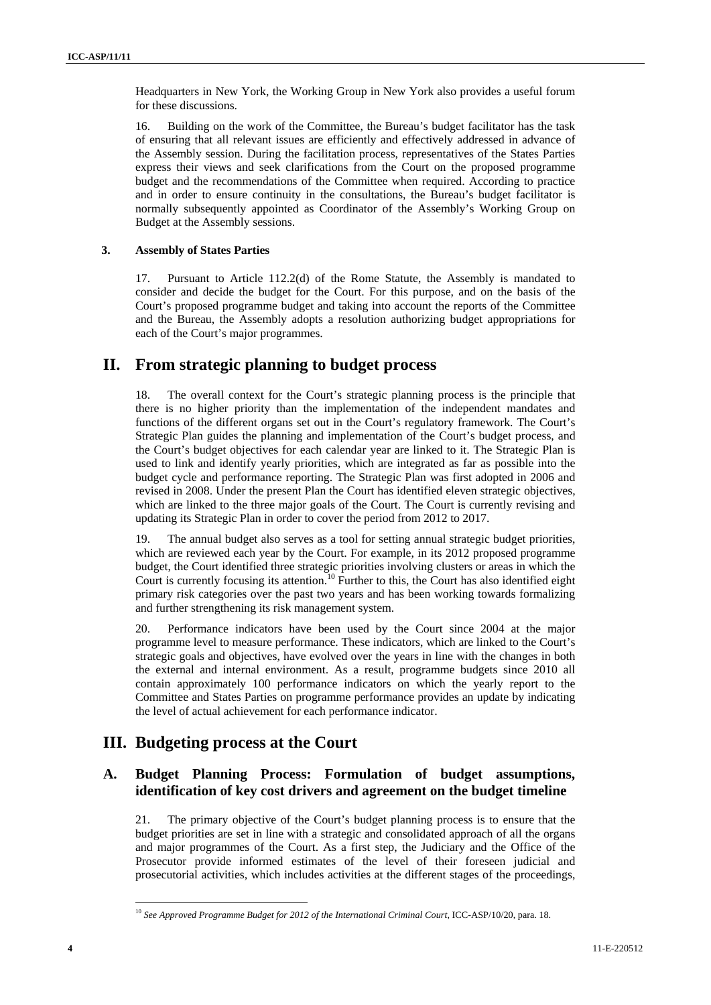Headquarters in New York, the Working Group in New York also provides a useful forum for these discussions.

16. Building on the work of the Committee, the Bureau's budget facilitator has the task of ensuring that all relevant issues are efficiently and effectively addressed in advance of the Assembly session. During the facilitation process, representatives of the States Parties express their views and seek clarifications from the Court on the proposed programme budget and the recommendations of the Committee when required. According to practice and in order to ensure continuity in the consultations, the Bureau's budget facilitator is normally subsequently appointed as Coordinator of the Assembly's Working Group on Budget at the Assembly sessions.

#### **3. Assembly of States Parties**

17. Pursuant to Article 112.2(d) of the Rome Statute, the Assembly is mandated to consider and decide the budget for the Court. For this purpose, and on the basis of the Court's proposed programme budget and taking into account the reports of the Committee and the Bureau, the Assembly adopts a resolution authorizing budget appropriations for each of the Court's major programmes.

### **II. From strategic planning to budget process**

18. The overall context for the Court's strategic planning process is the principle that there is no higher priority than the implementation of the independent mandates and functions of the different organs set out in the Court's regulatory framework. The Court's Strategic Plan guides the planning and implementation of the Court's budget process, and the Court's budget objectives for each calendar year are linked to it. The Strategic Plan is used to link and identify yearly priorities, which are integrated as far as possible into the budget cycle and performance reporting. The Strategic Plan was first adopted in 2006 and revised in 2008. Under the present Plan the Court has identified eleven strategic objectives, which are linked to the three major goals of the Court. The Court is currently revising and updating its Strategic Plan in order to cover the period from 2012 to 2017.

19. The annual budget also serves as a tool for setting annual strategic budget priorities, which are reviewed each year by the Court. For example, in its 2012 proposed programme budget, the Court identified three strategic priorities involving clusters or areas in which the Court is currently focusing its attention.<sup>10</sup> Further to this, the Court has also identified eight primary risk categories over the past two years and has been working towards formalizing and further strengthening its risk management system.

20. Performance indicators have been used by the Court since 2004 at the major programme level to measure performance. These indicators, which are linked to the Court's strategic goals and objectives, have evolved over the years in line with the changes in both the external and internal environment. As a result, programme budgets since 2010 all contain approximately 100 performance indicators on which the yearly report to the Committee and States Parties on programme performance provides an update by indicating the level of actual achievement for each performance indicator.

## **III. Budgeting process at the Court**

#### **A. Budget Planning Process: Formulation of budget assumptions, identification of key cost drivers and agreement on the budget timeline**

21. The primary objective of the Court's budget planning process is to ensure that the budget priorities are set in line with a strategic and consolidated approach of all the organs and major programmes of the Court. As a first step, the Judiciary and the Office of the Prosecutor provide informed estimates of the level of their foreseen judicial and prosecutorial activities, which includes activities at the different stages of the proceedings,

<sup>&</sup>lt;sup>10</sup> See Approved Programme Budget for 2012 of the International Criminal Court, ICC-ASP/10/20, para. 18.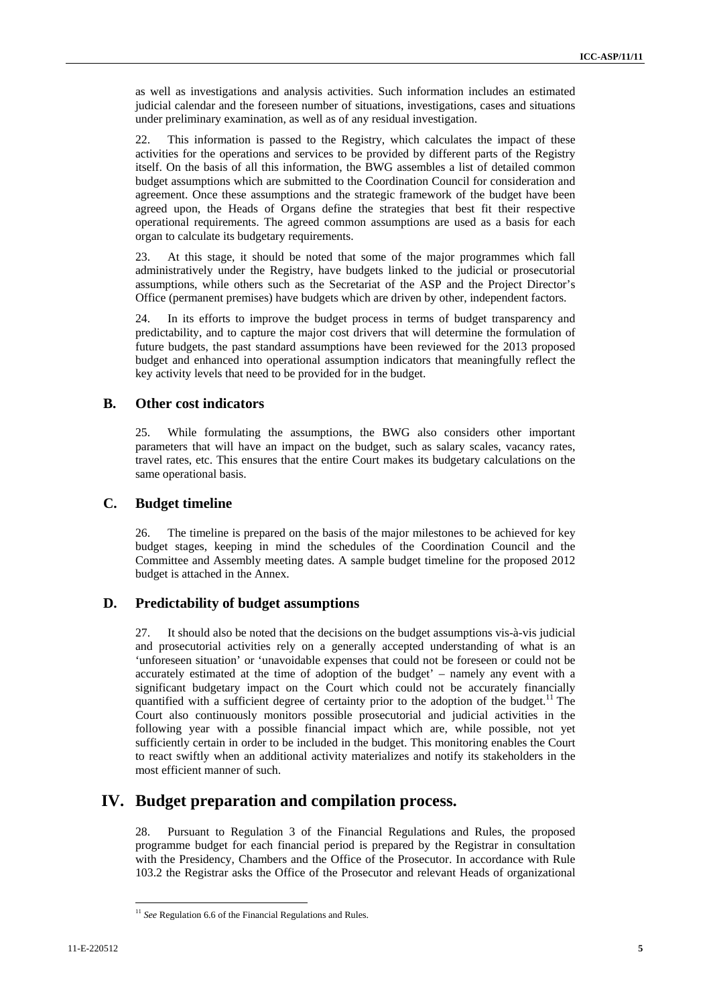as well as investigations and analysis activities. Such information includes an estimated judicial calendar and the foreseen number of situations, investigations, cases and situations under preliminary examination, as well as of any residual investigation.

22. This information is passed to the Registry, which calculates the impact of these activities for the operations and services to be provided by different parts of the Registry itself. On the basis of all this information, the BWG assembles a list of detailed common budget assumptions which are submitted to the Coordination Council for consideration and agreement. Once these assumptions and the strategic framework of the budget have been agreed upon, the Heads of Organs define the strategies that best fit their respective operational requirements. The agreed common assumptions are used as a basis for each organ to calculate its budgetary requirements.

23. At this stage, it should be noted that some of the major programmes which fall administratively under the Registry, have budgets linked to the judicial or prosecutorial assumptions, while others such as the Secretariat of the ASP and the Project Director's Office (permanent premises) have budgets which are driven by other, independent factors.

24. In its efforts to improve the budget process in terms of budget transparency and predictability, and to capture the major cost drivers that will determine the formulation of future budgets, the past standard assumptions have been reviewed for the 2013 proposed budget and enhanced into operational assumption indicators that meaningfully reflect the key activity levels that need to be provided for in the budget.

#### **B. Other cost indicators**

25. While formulating the assumptions, the BWG also considers other important parameters that will have an impact on the budget, such as salary scales, vacancy rates, travel rates, etc. This ensures that the entire Court makes its budgetary calculations on the same operational basis.

#### **C. Budget timeline**

26. The timeline is prepared on the basis of the major milestones to be achieved for key budget stages, keeping in mind the schedules of the Coordination Council and the Committee and Assembly meeting dates. A sample budget timeline for the proposed 2012 budget is attached in the Annex.

#### **D. Predictability of budget assumptions**

27. It should also be noted that the decisions on the budget assumptions vis-à-vis judicial and prosecutorial activities rely on a generally accepted understanding of what is an 'unforeseen situation' or 'unavoidable expenses that could not be foreseen or could not be accurately estimated at the time of adoption of the budget' – namely any event with a significant budgetary impact on the Court which could not be accurately financially quantified with a sufficient degree of certainty prior to the adoption of the budget.<sup>11</sup> The Court also continuously monitors possible prosecutorial and judicial activities in the following year with a possible financial impact which are, while possible, not yet sufficiently certain in order to be included in the budget. This monitoring enables the Court to react swiftly when an additional activity materializes and notify its stakeholders in the most efficient manner of such.

## **IV. Budget preparation and compilation process.**

28. Pursuant to Regulation 3 of the Financial Regulations and Rules, the proposed programme budget for each financial period is prepared by the Registrar in consultation with the Presidency, Chambers and the Office of the Prosecutor. In accordance with Rule 103.2 the Registrar asks the Office of the Prosecutor and relevant Heads of organizational

<sup>&</sup>lt;sup>11</sup> See Regulation 6.6 of the Financial Regulations and Rules.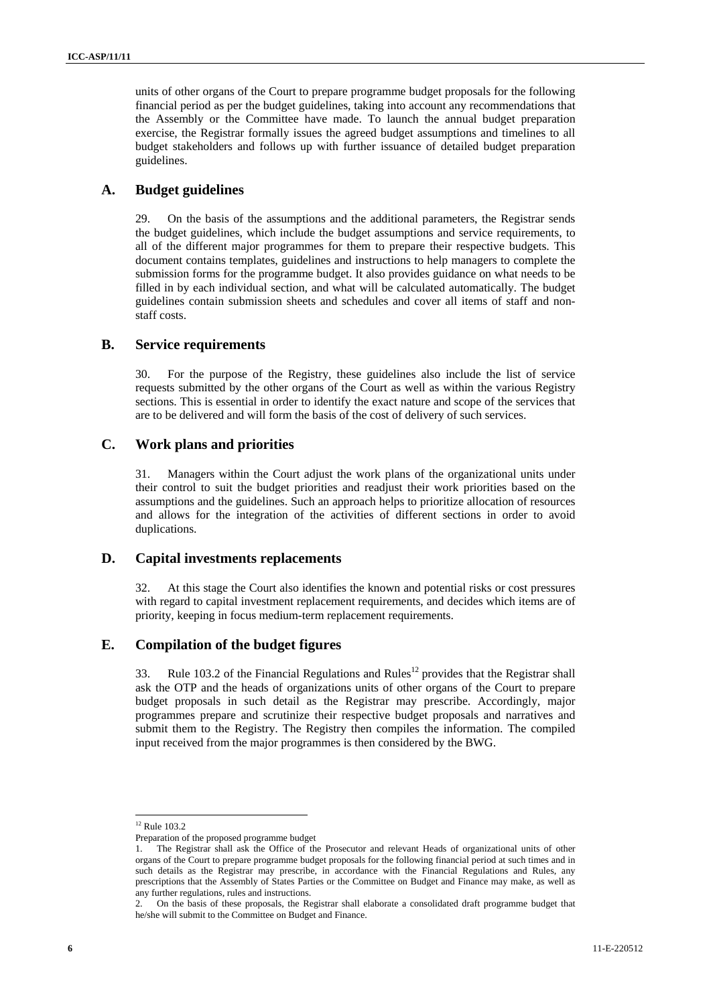units of other organs of the Court to prepare programme budget proposals for the following financial period as per the budget guidelines, taking into account any recommendations that the Assembly or the Committee have made. To launch the annual budget preparation exercise, the Registrar formally issues the agreed budget assumptions and timelines to all budget stakeholders and follows up with further issuance of detailed budget preparation guidelines.

#### **A. Budget guidelines**

29. On the basis of the assumptions and the additional parameters, the Registrar sends the budget guidelines, which include the budget assumptions and service requirements, to all of the different major programmes for them to prepare their respective budgets. This document contains templates, guidelines and instructions to help managers to complete the submission forms for the programme budget. It also provides guidance on what needs to be filled in by each individual section, and what will be calculated automatically. The budget guidelines contain submission sheets and schedules and cover all items of staff and nonstaff costs.

#### **B. Service requirements**

30. For the purpose of the Registry, these guidelines also include the list of service requests submitted by the other organs of the Court as well as within the various Registry sections. This is essential in order to identify the exact nature and scope of the services that are to be delivered and will form the basis of the cost of delivery of such services.

#### **C. Work plans and priorities**

31. Managers within the Court adjust the work plans of the organizational units under their control to suit the budget priorities and readjust their work priorities based on the assumptions and the guidelines. Such an approach helps to prioritize allocation of resources and allows for the integration of the activities of different sections in order to avoid duplications.

#### **D. Capital investments replacements**

32. At this stage the Court also identifies the known and potential risks or cost pressures with regard to capital investment replacement requirements, and decides which items are of priority, keeping in focus medium-term replacement requirements.

#### **E. Compilation of the budget figures**

33. Rule 103.2 of the Financial Regulations and Rules<sup>12</sup> provides that the Registrar shall ask the OTP and the heads of organizations units of other organs of the Court to prepare budget proposals in such detail as the Registrar may prescribe. Accordingly, major programmes prepare and scrutinize their respective budget proposals and narratives and submit them to the Registry. The Registry then compiles the information. The compiled input received from the major programmes is then considered by the BWG.

<sup>&</sup>lt;sup>12</sup> Rule 103.2

Preparation of the proposed programme budget

<sup>1.</sup> The Registrar shall ask the Office of the Prosecutor and relevant Heads of organizational units of other organs of the Court to prepare programme budget proposals for the following financial period at such times and in such details as the Registrar may prescribe, in accordance with the Financial Regulations and Rules, any prescriptions that the Assembly of States Parties or the Committee on Budget and Finance may make, as well as any further regulations, rules and instructions.

<sup>2.</sup> On the basis of these proposals, the Registrar shall elaborate a consolidated draft programme budget that he/she will submit to the Committee on Budget and Finance.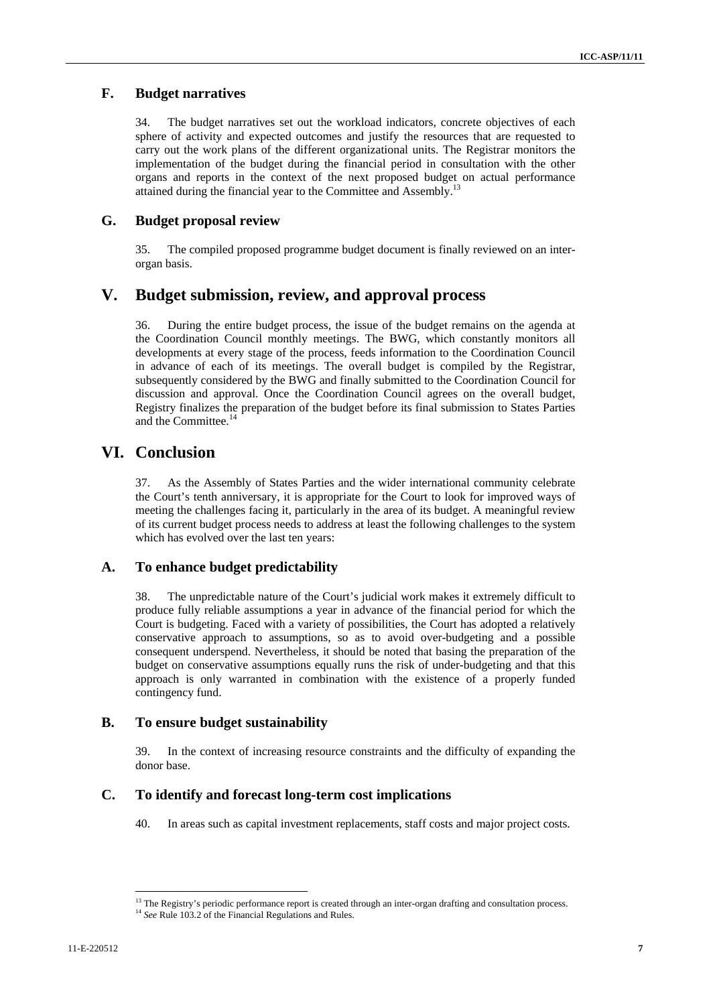#### **F. Budget narratives**

34. The budget narratives set out the workload indicators, concrete objectives of each sphere of activity and expected outcomes and justify the resources that are requested to carry out the work plans of the different organizational units. The Registrar monitors the implementation of the budget during the financial period in consultation with the other organs and reports in the context of the next proposed budget on actual performance attained during the financial year to the Committee and Assembly.<sup>13</sup>

### **G. Budget proposal review**

35. The compiled proposed programme budget document is finally reviewed on an interorgan basis.

### **V. Budget submission, review, and approval process**

36. During the entire budget process, the issue of the budget remains on the agenda at the Coordination Council monthly meetings. The BWG, which constantly monitors all developments at every stage of the process, feeds information to the Coordination Council in advance of each of its meetings. The overall budget is compiled by the Registrar, subsequently considered by the BWG and finally submitted to the Coordination Council for discussion and approval. Once the Coordination Council agrees on the overall budget, Registry finalizes the preparation of the budget before its final submission to States Parties and the Committee.<sup>14</sup>

## **VI. Conclusion**

37. As the Assembly of States Parties and the wider international community celebrate the Court's tenth anniversary, it is appropriate for the Court to look for improved ways of meeting the challenges facing it, particularly in the area of its budget. A meaningful review of its current budget process needs to address at least the following challenges to the system which has evolved over the last ten years:

#### **A. To enhance budget predictability**

38. The unpredictable nature of the Court's judicial work makes it extremely difficult to produce fully reliable assumptions a year in advance of the financial period for which the Court is budgeting. Faced with a variety of possibilities, the Court has adopted a relatively conservative approach to assumptions, so as to avoid over-budgeting and a possible consequent underspend. Nevertheless, it should be noted that basing the preparation of the budget on conservative assumptions equally runs the risk of under-budgeting and that this approach is only warranted in combination with the existence of a properly funded contingency fund.

#### **B. To ensure budget sustainability**

39. In the context of increasing resource constraints and the difficulty of expanding the donor base.

#### **C. To identify and forecast long-term cost implications**

40. In areas such as capital investment replacements, staff costs and major project costs.

<sup>&</sup>lt;sup>13</sup> The Registry's periodic performance report is created through an inter-organ drafting and consultation process. <sup>14</sup> *See* Rule 103.2 of the Financial Regulations and Rules.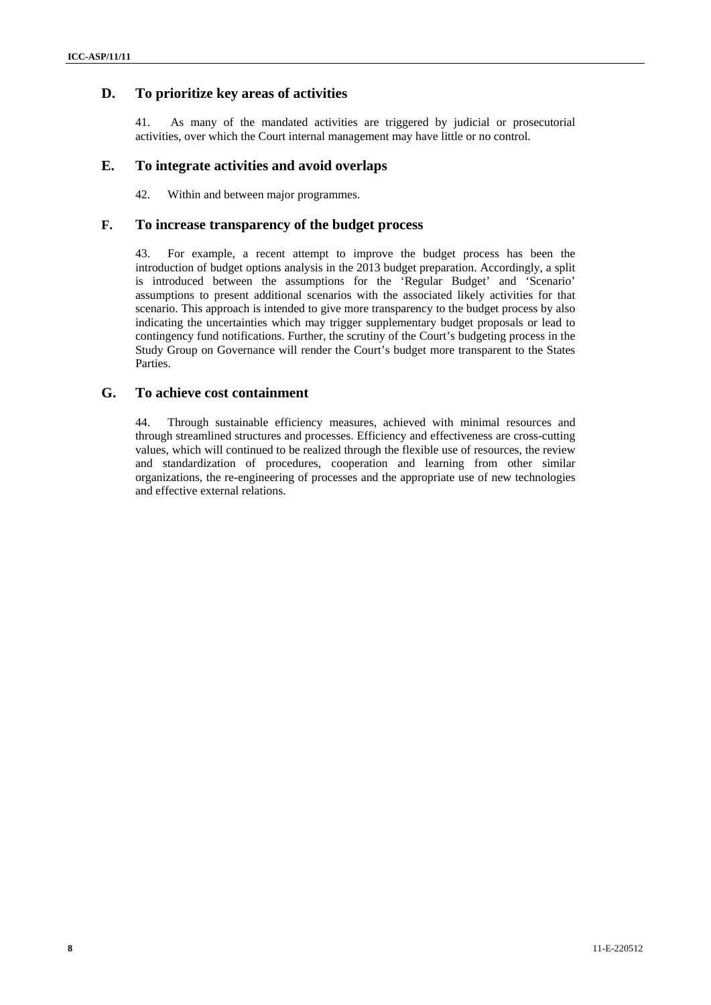#### **D. To prioritize key areas of activities**

41. As many of the mandated activities are triggered by judicial or prosecutorial activities, over which the Court internal management may have little or no control.

#### **E. To integrate activities and avoid overlaps**

42. Within and between major programmes.

#### **F. To increase transparency of the budget process**

43. For example, a recent attempt to improve the budget process has been the introduction of budget options analysis in the 2013 budget preparation. Accordingly, a split is introduced between the assumptions for the 'Regular Budget' and 'Scenario' assumptions to present additional scenarios with the associated likely activities for that scenario. This approach is intended to give more transparency to the budget process by also indicating the uncertainties which may trigger supplementary budget proposals or lead to contingency fund notifications. Further, the scrutiny of the Court's budgeting process in the Study Group on Governance will render the Court's budget more transparent to the States Parties.

#### **G. To achieve cost containment**

44. Through sustainable efficiency measures, achieved with minimal resources and through streamlined structures and processes. Efficiency and effectiveness are cross-cutting values, which will continued to be realized through the flexible use of resources, the review and standardization of procedures, cooperation and learning from other similar organizations, the re-engineering of processes and the appropriate use of new technologies and effective external relations.